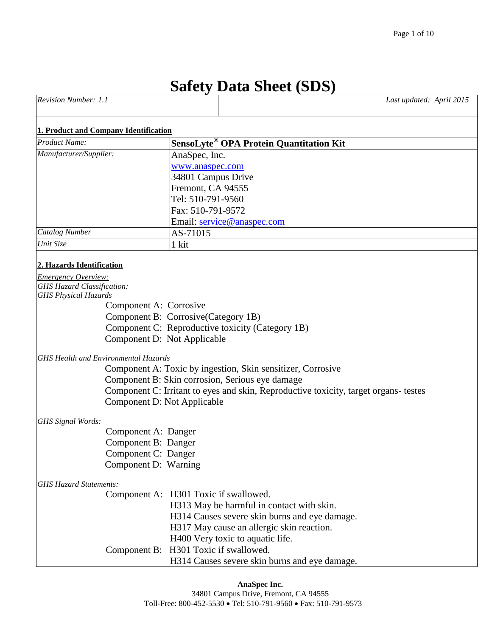# **Safety Data Sheet (SDS)**

| <b>Revision Number:</b> | Last updated: April 2015 |
|-------------------------|--------------------------|
|                         |                          |

#### **1. Product and Company Identification**

| <b>Product Name:</b>                                             | SensoLyte <sup>®</sup> OPA Protein Quantitation Kit                                  |
|------------------------------------------------------------------|--------------------------------------------------------------------------------------|
| Manufacturer/Supplier:                                           | AnaSpec, Inc.                                                                        |
|                                                                  | www.anaspec.com                                                                      |
|                                                                  | 34801 Campus Drive                                                                   |
|                                                                  | Fremont, CA 94555                                                                    |
|                                                                  | Tel: 510-791-9560                                                                    |
|                                                                  | Fax: 510-791-9572                                                                    |
|                                                                  | Email: service@anaspec.com                                                           |
| Catalog Number                                                   | AS-71015                                                                             |
| Unit Size                                                        | 1 kit                                                                                |
|                                                                  |                                                                                      |
| 2. Hazards Identification                                        |                                                                                      |
| <b>Emergency Overview:</b>                                       |                                                                                      |
| <b>GHS Hazard Classification:</b><br><b>GHS Physical Hazards</b> |                                                                                      |
|                                                                  | Component A: Corrosive                                                               |
|                                                                  | Component B: Corrosive(Category 1B)                                                  |
|                                                                  | Component C: Reproductive toxicity (Category 1B)                                     |
|                                                                  | Component D: Not Applicable                                                          |
|                                                                  |                                                                                      |
| <b>GHS Health and Environmental Hazards</b>                      |                                                                                      |
|                                                                  | Component A: Toxic by ingestion, Skin sensitizer, Corrosive                          |
|                                                                  | Component B: Skin corrosion, Serious eye damage                                      |
|                                                                  | Component C: Irritant to eyes and skin, Reproductive toxicity, target organs- testes |
|                                                                  | <b>Component D: Not Applicable</b>                                                   |
| GHS Signal Words:                                                |                                                                                      |
|                                                                  | Component A: Danger                                                                  |
|                                                                  | Component B: Danger                                                                  |
|                                                                  | Component C: Danger                                                                  |
|                                                                  | Component D: Warning                                                                 |
|                                                                  |                                                                                      |
| <b>GHS Hazard Statements:</b>                                    |                                                                                      |
|                                                                  | Component A: H301 Toxic if swallowed.                                                |
|                                                                  | H313 May be harmful in contact with skin.                                            |

H314 Causes severe skin burns and eye damage.

H317 May cause an allergic skin reaction.

H400 Very toxic to aquatic life.

Component B: H301 Toxic if swallowed.

H314 Causes severe skin burns and eye damage.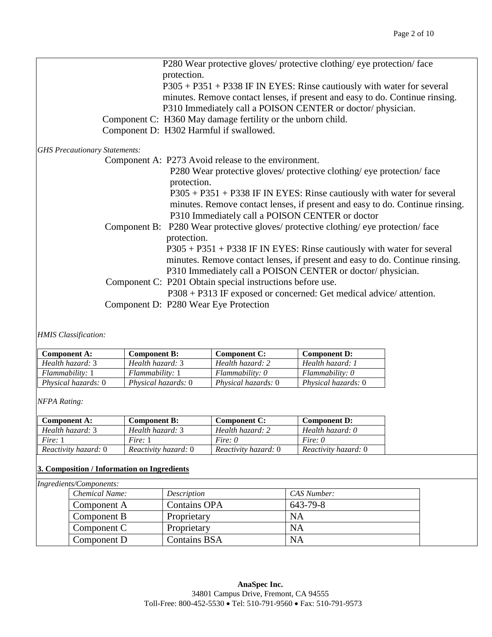|                                      | P280 Wear protective gloves/ protective clothing/ eye protection/ face<br>protection.<br>$P305 + P351 + P338$ IF IN EYES: Rinse cautiously with water for several<br>minutes. Remove contact lenses, if present and easy to do. Continue rinsing.                                                    |
|--------------------------------------|------------------------------------------------------------------------------------------------------------------------------------------------------------------------------------------------------------------------------------------------------------------------------------------------------|
|                                      | P310 Immediately call a POISON CENTER or doctor/physician.<br>Component C: H360 May damage fertility or the unborn child.                                                                                                                                                                            |
|                                      | Component D: H302 Harmful if swallowed.                                                                                                                                                                                                                                                              |
| <b>GHS Precautionary Statements:</b> |                                                                                                                                                                                                                                                                                                      |
|                                      | Component A: P273 Avoid release to the environment.                                                                                                                                                                                                                                                  |
|                                      | P280 Wear protective gloves/ protective clothing/ eye protection/ face<br>protection.<br>$P305 + P351 + P338$ IF IN EYES: Rinse cautiously with water for several<br>minutes. Remove contact lenses, if present and easy to do. Continue rinsing.<br>P310 Immediately call a POISON CENTER or doctor |
|                                      | Component B: P280 Wear protective gloves/ protective clothing/ eye protection/ face<br>protection.<br>$P305 + P351 + P338$ IF IN EYES: Rinse cautiously with water for several<br>minutes. Remove contact lenses, if present and easy to do. Continue rinsing.                                       |
|                                      | P310 Immediately call a POISON CENTER or doctor/physician.                                                                                                                                                                                                                                           |
|                                      | Component C: P201 Obtain special instructions before use.<br>P308 + P313 IF exposed or concerned: Get medical advice/ attention.                                                                                                                                                                     |
|                                      | Component D: P280 Wear Eye Protection                                                                                                                                                                                                                                                                |

*HMIS Classification:*

| <b>Component A:</b>        | <b>Component B:</b>        | <b>Component C:</b>        | <b>Component D:</b>        |
|----------------------------|----------------------------|----------------------------|----------------------------|
| Health hazard: 3           | Health hazard: 3           | Health hazard: 2           | Health hazard: 1           |
| Flammability: 1            | Flammability: 1            | Flammability: 0            | Flammability: 0            |
| <i>Physical hazards:</i> 0 | <i>Physical hazards:</i> 0 | <i>Physical hazards:</i> 0 | <i>Physical hazards:</i> 0 |

*NFPA Rating:*

| <b>Component A:</b>  | <b>Component B:</b>  | <b>Component C:</b>  | <b>Component D:</b>  |
|----------------------|----------------------|----------------------|----------------------|
| Health hazard: 3     | Health hazard: 3     | Health hazard: 2     | Health hazard: 0     |
| Fire: 1              | Fire: 1              | Fire: 0              | Fire: $\theta$       |
| Reactivity hazard: 0 | Reactivity hazard: 0 | Reactivity hazard: 0 | Reactivity hazard: 0 |

### **3. Composition / Information on Ingredients**

| Ingredients/Components: |                |                     |             |
|-------------------------|----------------|---------------------|-------------|
|                         | Chemical Name: | <i>Description</i>  | CAS Number: |
|                         | Component A    | <b>Contains OPA</b> | 643-79-8    |
|                         | Component B    | Proprietary         | <b>NA</b>   |
|                         | Component C    | Proprietary         | <b>NA</b>   |
|                         | Component D    | <b>Contains BSA</b> | <b>NA</b>   |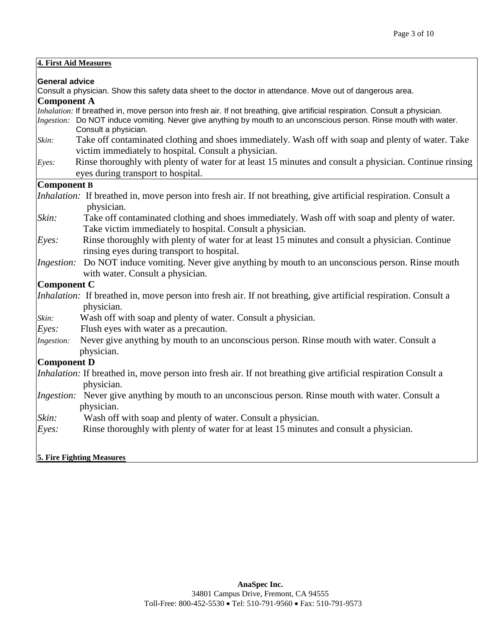| 4. First Aid Measures |                                                                                                                                                            |  |
|-----------------------|------------------------------------------------------------------------------------------------------------------------------------------------------------|--|
| <b>General advice</b> |                                                                                                                                                            |  |
|                       | Consult a physician. Show this safety data sheet to the doctor in attendance. Move out of dangerous area.                                                  |  |
| Component A           |                                                                                                                                                            |  |
|                       | Inhalation: If breathed in, move person into fresh air. If not breathing, give artificial respiration. Consult a physician.                                |  |
|                       | Ingestion: Do NOT induce vomiting. Never give anything by mouth to an unconscious person. Rinse mouth with water.<br>Consult a physician.                  |  |
| Skin:                 | Take off contaminated clothing and shoes immediately. Wash off with soap and plenty of water. Take<br>victim immediately to hospital. Consult a physician. |  |
| Eyes:                 | Rinse thoroughly with plenty of water for at least 15 minutes and consult a physician. Continue rinsing<br>eyes during transport to hospital.              |  |
| Component B           |                                                                                                                                                            |  |
|                       | <i>Inhalation</i> : If breathed in, move person into fresh air. If not breathing, give artificial respiration. Consult a<br>physician.                     |  |
| Skin:                 | Take off contaminated clothing and shoes immediately. Wash off with soap and plenty of water.<br>Take victim immediately to hospital. Consult a physician. |  |
| Eyes:                 | Rinse thoroughly with plenty of water for at least 15 minutes and consult a physician. Continue<br>rinsing eyes during transport to hospital.              |  |
| Ingestion:            | Do NOT induce vomiting. Never give anything by mouth to an unconscious person. Rinse mouth<br>with water. Consult a physician.                             |  |
| Component C           |                                                                                                                                                            |  |
|                       | <i>Inhalation</i> : If breathed in, move person into fresh air. If not breathing, give artificial respiration. Consult a<br>physician.                     |  |
| Skin:                 | Wash off with soap and plenty of water. Consult a physician.                                                                                               |  |
| Eyes:                 | Flush eyes with water as a precaution.                                                                                                                     |  |
| Ingestion:            | Never give anything by mouth to an unconscious person. Rinse mouth with water. Consult a<br>physician.                                                     |  |
| Component D           |                                                                                                                                                            |  |
|                       | <i>Inhalation:</i> If breathed in, move person into fresh air. If not breathing give artificial respiration Consult a<br>physician.                        |  |
|                       | <i>Ingestion</i> : Never give anything by mouth to an unconscious person. Rinse mouth with water. Consult a<br>physician.                                  |  |
| Skin:                 | Wash off with soap and plenty of water. Consult a physician.                                                                                               |  |
| Eyes:                 | Rinse thoroughly with plenty of water for at least 15 minutes and consult a physician.                                                                     |  |
|                       | <b>5. Fire Fighting Measures</b>                                                                                                                           |  |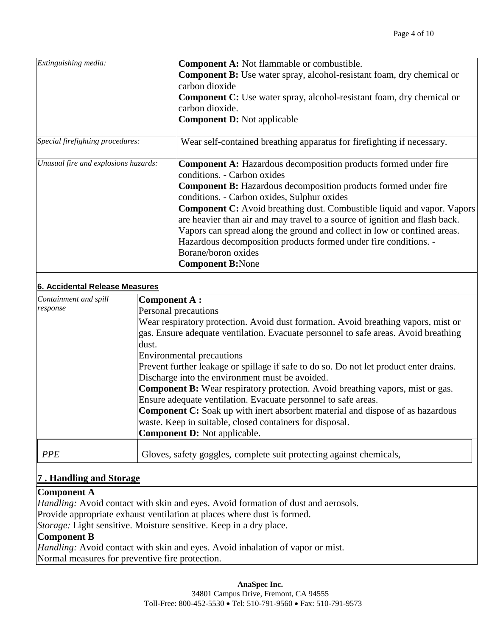| Extinguishing media:                 | <b>Component A:</b> Not flammable or combustible.                                      |
|--------------------------------------|----------------------------------------------------------------------------------------|
|                                      | Component B: Use water spray, alcohol-resistant foam, dry chemical or                  |
|                                      | carbon dioxide                                                                         |
|                                      | Component C: Use water spray, alcohol-resistant foam, dry chemical or                  |
|                                      | carbon dioxide.                                                                        |
|                                      | <b>Component D: Not applicable</b>                                                     |
| Special firefighting procedures:     | Wear self-contained breathing apparatus for firefighting if necessary.                 |
| Unusual fire and explosions hazards: | Component A: Hazardous decomposition products formed under fire                        |
|                                      | conditions. - Carbon oxides                                                            |
|                                      | Component B: Hazardous decomposition products formed under fire                        |
|                                      | conditions. - Carbon oxides, Sulphur oxides                                            |
|                                      | <b>Component C:</b> Avoid breathing dust. Combustible liquid and vapor. Vapors         |
|                                      | are heavier than air and may travel to a source of ignition and flash back.            |
|                                      | Vapors can spread along the ground and collect in low or confined areas.               |
|                                      | Hazardous decomposition products formed under fire conditions. -                       |
|                                      | Borane/boron oxides                                                                    |
|                                      | <b>Component B:None</b>                                                                |
| 6. Accidental Release Measures       |                                                                                        |
| Containment and spill                | <b>Component A:</b>                                                                    |
| response                             | Personal precautions                                                                   |
|                                      | Wear respiratory protection. Avoid dust formation. Avoid breathing vapors, mist or     |
|                                      | gas. Ensure adequate ventilation. Evacuate personnel to safe areas. Avoid breathing    |
|                                      | dust.                                                                                  |
|                                      | <b>Environmental precautions</b>                                                       |
|                                      | Prevent further leakage or spillage if safe to do so. Do not let product enter drains. |
|                                      | Discharge into the environment must be avoided.                                        |
|                                      | Component B: Wear respiratory protection. Avoid breathing vapors, mist or gas.         |
|                                      | Ensure adequate ventilation. Evacuate personnel to safe areas.                         |
|                                      | <b>Component C:</b> Soak up with inert absorbent material and dispose of as hazardous  |
|                                      | waste. Keep in suitable, closed containers for disposal.                               |
|                                      | <b>Component D: Not applicable.</b>                                                    |
| <b>PPE</b>                           | Gloves, safety goggles, complete suit protecting against chemicals,                    |
| 7. Handling and Storage              |                                                                                        |
| <b>Component A</b>                   |                                                                                        |
|                                      | Handling: Avoid contact with skin and eyes. Avoid formation of dust and aerosols.      |

Provide appropriate exhaust ventilation at places where dust is formed.

*Storage:* Light sensitive. Moisture sensitive. Keep in a dry place.

## **Component B**

*Handling:* Avoid contact with skin and eyes. Avoid inhalation of vapor or mist. Normal measures for preventive fire protection.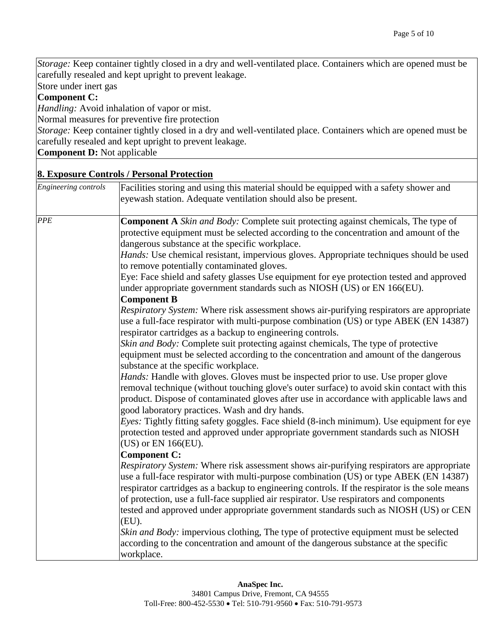*Storage:* Keep container tightly closed in a dry and well-ventilated place. Containers which are opened must be carefully resealed and kept upright to prevent leakage.

Store under inert gas

### **Component C:**

*Handling:* Avoid inhalation of vapor or mist.

Normal measures for preventive fire protection

*Storage:* Keep container tightly closed in a dry and well-ventilated place. Containers which are opened must be carefully resealed and kept upright to prevent leakage.

**Component D:** Not applicable

#### **8. Exposure Controls / Personal Protection**

| Engineering controls | Facilities storing and using this material should be equipped with a safety shower and<br>eyewash station. Adequate ventilation should also be present.                                                                                                                                                                                                                                                                                                                                                    |
|----------------------|------------------------------------------------------------------------------------------------------------------------------------------------------------------------------------------------------------------------------------------------------------------------------------------------------------------------------------------------------------------------------------------------------------------------------------------------------------------------------------------------------------|
| <b>PPE</b>           | <b>Component A</b> Skin and Body: Complete suit protecting against chemicals, The type of<br>protective equipment must be selected according to the concentration and amount of the<br>dangerous substance at the specific workplace.                                                                                                                                                                                                                                                                      |
|                      | Hands: Use chemical resistant, impervious gloves. Appropriate techniques should be used<br>to remove potentially contaminated gloves.                                                                                                                                                                                                                                                                                                                                                                      |
|                      | Eye: Face shield and safety glasses Use equipment for eye protection tested and approved<br>under appropriate government standards such as NIOSH (US) or EN 166(EU).<br><b>Component B</b>                                                                                                                                                                                                                                                                                                                 |
|                      | Respiratory System: Where risk assessment shows air-purifying respirators are appropriate<br>use a full-face respirator with multi-purpose combination (US) or type ABEK (EN 14387)<br>respirator cartridges as a backup to engineering controls.                                                                                                                                                                                                                                                          |
|                      | Skin and Body: Complete suit protecting against chemicals, The type of protective<br>equipment must be selected according to the concentration and amount of the dangerous<br>substance at the specific workplace.                                                                                                                                                                                                                                                                                         |
|                      | <i>Hands:</i> Handle with gloves. Gloves must be inspected prior to use. Use proper glove<br>removal technique (without touching glove's outer surface) to avoid skin contact with this<br>product. Dispose of contaminated gloves after use in accordance with applicable laws and<br>good laboratory practices. Wash and dry hands.                                                                                                                                                                      |
|                      | Eyes: Tightly fitting safety goggles. Face shield (8-inch minimum). Use equipment for eye<br>protection tested and approved under appropriate government standards such as NIOSH<br>(US) or EN 166(EU).                                                                                                                                                                                                                                                                                                    |
|                      | <b>Component C:</b><br>Respiratory System: Where risk assessment shows air-purifying respirators are appropriate<br>use a full-face respirator with multi-purpose combination (US) or type ABEK (EN 14387)<br>respirator cartridges as a backup to engineering controls. If the respirator is the sole means<br>of protection, use a full-face supplied air respirator. Use respirators and components<br>tested and approved under appropriate government standards such as NIOSH (US) or CEN<br>$(EU)$ . |
|                      | Skin and Body: impervious clothing, The type of protective equipment must be selected<br>according to the concentration and amount of the dangerous substance at the specific<br>workplace.                                                                                                                                                                                                                                                                                                                |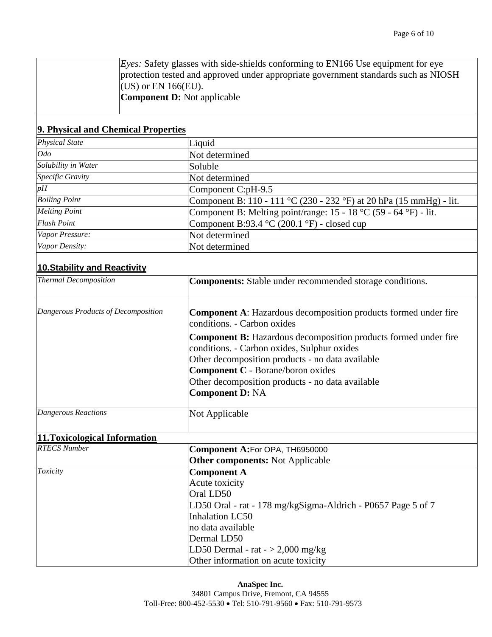| <i>Eyes:</i> Safety glasses with side-shields conforming to EN166 Use equipment for eye |
|-----------------------------------------------------------------------------------------|
| protection tested and approved under appropriate government standards such as NIOSH     |
| $(CUS)$ or EN 166(EU).                                                                  |
| <b>Component D:</b> Not applicable                                                      |

### **9. Physical and Chemical Properties**

| <b>Physical State</b> | Liquid                                                              |
|-----------------------|---------------------------------------------------------------------|
| $O$ do                | Not determined                                                      |
| Solubility in Water   | Soluble                                                             |
| Specific Gravity      | Not determined                                                      |
| $p\overline{H}$       | Component C:pH-9.5                                                  |
| <b>Boiling Point</b>  | Component B: 110 - 111 °C (230 - 232 °F) at 20 hPa (15 mmHg) - lit. |
| <b>Melting Point</b>  | Component B: Melting point/range: $15 - 18$ °C (59 - 64 °F) - lit.  |
| <b>Flash Point</b>    | Component B:93.4 $\degree$ C (200.1 $\degree$ F) - closed cup       |
| Vapor Pressure:       | Not determined                                                      |
| Vapor Density:        | Not determined                                                      |

# **10.Stability and Reactivity**

| <b>Thermal Decomposition</b>        | <b>Components:</b> Stable under recommended storage conditions.                                                                                                           |
|-------------------------------------|---------------------------------------------------------------------------------------------------------------------------------------------------------------------------|
| Dangerous Products of Decomposition | <b>Component A:</b> Hazardous decomposition products formed under fire<br>conditions. - Carbon oxides                                                                     |
|                                     | <b>Component B:</b> Hazardous decomposition products formed under fire<br>conditions. - Carbon oxides, Sulphur oxides<br>Other decomposition products - no data available |
|                                     | <b>Component C</b> - Borane/boron oxides<br>Other decomposition products - no data available                                                                              |
|                                     | <b>Component D: NA</b>                                                                                                                                                    |
| Dangerous Reactions                 | Not Applicable                                                                                                                                                            |

# **11.Toxicological Information**

| <b>RTECS Number</b> | Component A:For OPA, TH6950000                               |
|---------------------|--------------------------------------------------------------|
|                     | <b>Other components:</b> Not Applicable                      |
| Toxicity            | <b>Component A</b>                                           |
|                     | Acute toxicity                                               |
|                     | Oral LD50                                                    |
|                     | LD50 Oral - rat - 178 mg/kgSigma-Aldrich - P0657 Page 5 of 7 |
|                     | Inhalation LC50                                              |
|                     | no data available                                            |
|                     | Dermal LD50                                                  |
|                     | LD50 Dermal - rat $-$ > 2,000 mg/kg                          |
|                     | Other information on acute toxicity                          |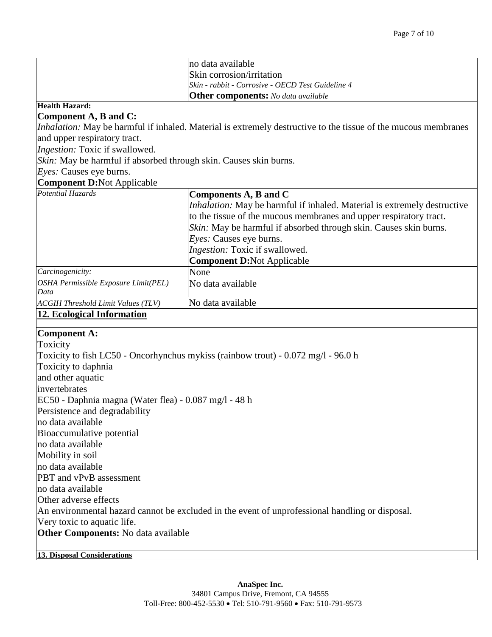|                                                                                                 | no data available                                                                                                     |  |  |  |  |  |  |
|-------------------------------------------------------------------------------------------------|-----------------------------------------------------------------------------------------------------------------------|--|--|--|--|--|--|
|                                                                                                 | Skin corrosion/irritation                                                                                             |  |  |  |  |  |  |
|                                                                                                 | Skin - rabbit - Corrosive - OECD Test Guideline 4                                                                     |  |  |  |  |  |  |
| <b>Other components:</b> No data available                                                      |                                                                                                                       |  |  |  |  |  |  |
| <b>Health Hazard:</b>                                                                           |                                                                                                                       |  |  |  |  |  |  |
| Component A, B and C:                                                                           |                                                                                                                       |  |  |  |  |  |  |
|                                                                                                 | <i>Inhalation:</i> May be harmful if inhaled. Material is extremely destructive to the tissue of the mucous membranes |  |  |  |  |  |  |
| and upper respiratory tract.                                                                    |                                                                                                                       |  |  |  |  |  |  |
| Ingestion: Toxic if swallowed.                                                                  |                                                                                                                       |  |  |  |  |  |  |
|                                                                                                 | Skin: May be harmful if absorbed through skin. Causes skin burns.                                                     |  |  |  |  |  |  |
| Eyes: Causes eye burns.                                                                         |                                                                                                                       |  |  |  |  |  |  |
| <b>Component D:Not Applicable</b>                                                               |                                                                                                                       |  |  |  |  |  |  |
| <b>Potential Hazards</b>                                                                        | Components A, B and C                                                                                                 |  |  |  |  |  |  |
|                                                                                                 | <i>Inhalation:</i> May be harmful if inhaled. Material is extremely destructive                                       |  |  |  |  |  |  |
|                                                                                                 | to the tissue of the mucous membranes and upper respiratory tract.                                                    |  |  |  |  |  |  |
|                                                                                                 | Skin: May be harmful if absorbed through skin. Causes skin burns.                                                     |  |  |  |  |  |  |
|                                                                                                 | Eyes: Causes eye burns.                                                                                               |  |  |  |  |  |  |
|                                                                                                 | Ingestion: Toxic if swallowed.                                                                                        |  |  |  |  |  |  |
|                                                                                                 | <b>Component D:Not Applicable</b>                                                                                     |  |  |  |  |  |  |
| Carcinogenicity:                                                                                | None                                                                                                                  |  |  |  |  |  |  |
| OSHA Permissible Exposure Limit(PEL)                                                            | No data available                                                                                                     |  |  |  |  |  |  |
| Data                                                                                            | No data available                                                                                                     |  |  |  |  |  |  |
| <b>ACGIH Threshold Limit Values (TLV)</b>                                                       |                                                                                                                       |  |  |  |  |  |  |
| <b>12. Ecological Information</b>                                                               |                                                                                                                       |  |  |  |  |  |  |
| Component A:                                                                                    |                                                                                                                       |  |  |  |  |  |  |
| Toxicity                                                                                        |                                                                                                                       |  |  |  |  |  |  |
|                                                                                                 | Toxicity to fish LC50 - Oncorhynchus mykiss (rainbow trout) - 0.072 mg/l - 96.0 h                                     |  |  |  |  |  |  |
| Toxicity to daphnia                                                                             |                                                                                                                       |  |  |  |  |  |  |
| and other aquatic                                                                               |                                                                                                                       |  |  |  |  |  |  |
| invertebrates                                                                                   |                                                                                                                       |  |  |  |  |  |  |
| EC50 - Daphnia magna (Water flea) - 0.087 mg/l - 48 h                                           |                                                                                                                       |  |  |  |  |  |  |
| Persistence and degradability                                                                   |                                                                                                                       |  |  |  |  |  |  |
| no data available                                                                               |                                                                                                                       |  |  |  |  |  |  |
| Bioaccumulative potential                                                                       |                                                                                                                       |  |  |  |  |  |  |
| no data available                                                                               |                                                                                                                       |  |  |  |  |  |  |
| Mobility in soil                                                                                |                                                                                                                       |  |  |  |  |  |  |
| no data available                                                                               |                                                                                                                       |  |  |  |  |  |  |
| PBT and vPvB assessment                                                                         |                                                                                                                       |  |  |  |  |  |  |
| no data available                                                                               |                                                                                                                       |  |  |  |  |  |  |
| Other adverse effects                                                                           |                                                                                                                       |  |  |  |  |  |  |
| An environmental hazard cannot be excluded in the event of unprofessional handling or disposal. |                                                                                                                       |  |  |  |  |  |  |
| Very toxic to aquatic life.                                                                     |                                                                                                                       |  |  |  |  |  |  |
| <b>Other Components:</b> No data available                                                      |                                                                                                                       |  |  |  |  |  |  |
|                                                                                                 |                                                                                                                       |  |  |  |  |  |  |
| <b>13. Disposal Considerations</b>                                                              |                                                                                                                       |  |  |  |  |  |  |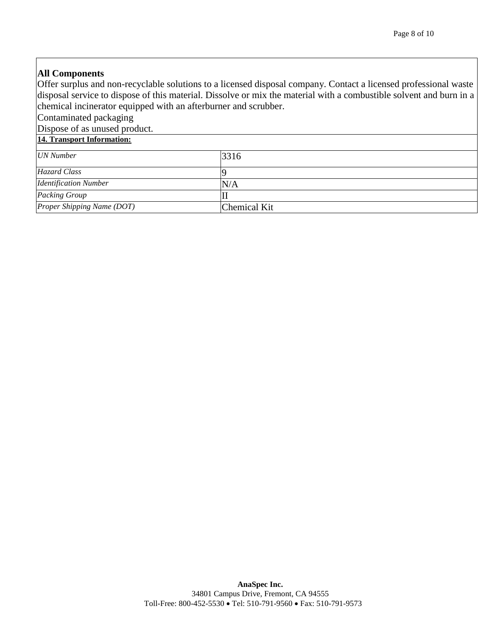### **All Components**

Offer surplus and non-recyclable solutions to a licensed disposal company. Contact a licensed professional waste disposal service to dispose of this material. Dissolve or mix the material with a combustible solvent and burn in a chemical incinerator equipped with an afterburner and scrubber.

Contaminated packaging

Dispose of as unused product.

### **14. Transport Information:**

| UN Number                    | 3316         |
|------------------------------|--------------|
| <b>Hazard Class</b>          |              |
| <b>Identification Number</b> | N/A          |
| Packing Group                |              |
| Proper Shipping Name (DOT)   | Chemical Kit |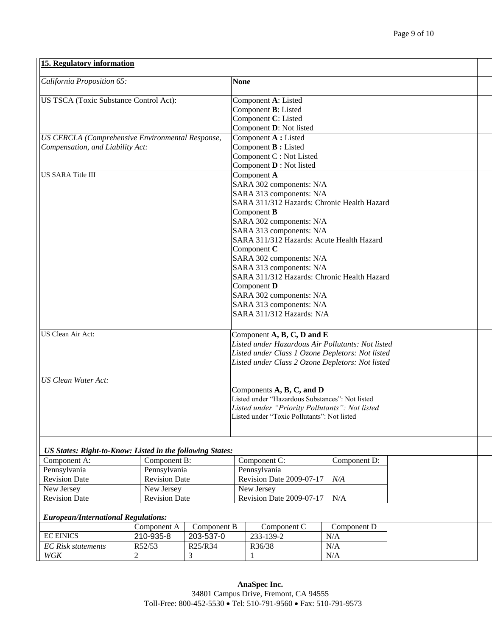| California Proposition 65:                                | <b>None</b>                                       |  |  |
|-----------------------------------------------------------|---------------------------------------------------|--|--|
|                                                           |                                                   |  |  |
| US TSCA (Toxic Substance Control Act):                    | Component A: Listed                               |  |  |
|                                                           | Component <b>B</b> : Listed                       |  |  |
|                                                           | Component C: Listed                               |  |  |
|                                                           | Component D: Not listed                           |  |  |
| US CERCLA (Comprehensive Environmental Response,          | Component A : Listed                              |  |  |
| Compensation, and Liability Act:                          | Component <b>B</b> : Listed                       |  |  |
|                                                           | Component C : Not Listed                          |  |  |
|                                                           | Component <b>D</b> : Not listed                   |  |  |
| <b>US SARA Title III</b>                                  | Component A                                       |  |  |
|                                                           | SARA 302 components: N/A                          |  |  |
|                                                           | SARA 313 components: N/A                          |  |  |
|                                                           | SARA 311/312 Hazards: Chronic Health Hazard       |  |  |
|                                                           | Component <b>B</b>                                |  |  |
|                                                           | SARA 302 components: N/A                          |  |  |
|                                                           | SARA 313 components: N/A                          |  |  |
|                                                           | SARA 311/312 Hazards: Acute Health Hazard         |  |  |
|                                                           | Component C                                       |  |  |
|                                                           | SARA 302 components: N/A                          |  |  |
|                                                           | SARA 313 components: N/A                          |  |  |
|                                                           | SARA 311/312 Hazards: Chronic Health Hazard       |  |  |
|                                                           | Component D                                       |  |  |
|                                                           | SARA 302 components: N/A                          |  |  |
|                                                           | SARA 313 components: N/A                          |  |  |
|                                                           | SARA 311/312 Hazards: N/A                         |  |  |
| US Clean Air Act:                                         | Component A, B, C, D and E                        |  |  |
|                                                           | Listed under Hazardous Air Pollutants: Not listed |  |  |
|                                                           | Listed under Class 1 Ozone Depletors: Not listed  |  |  |
|                                                           | Listed under Class 2 Ozone Depletors: Not listed  |  |  |
|                                                           |                                                   |  |  |
| <b>US Clean Water Act:</b>                                |                                                   |  |  |
|                                                           | Components $A$ , $B$ , $C$ , and $D$              |  |  |
|                                                           | Listed under "Hazardous Substances": Not listed   |  |  |
|                                                           | Listed under "Priority Pollutants": Not listed    |  |  |
|                                                           | Listed under "Toxic Pollutants": Not listed       |  |  |
|                                                           |                                                   |  |  |
|                                                           |                                                   |  |  |
| US States: Right-to-Know: Listed in the following States: |                                                   |  |  |
|                                                           |                                                   |  |  |

| Component A:         | Component B:         | Component C:                        | Component D: |
|----------------------|----------------------|-------------------------------------|--------------|
| Pennsylvania         | Pennsylvania         | Pennsylvania                        |              |
| <b>Revision Date</b> | <b>Revision Date</b> | Revision Date 2009-07-17            | N/A          |
| New Jersey           | New Jersey           | New Jersey                          |              |
| <b>Revision Date</b> | <b>Revision Date</b> | Revision Date 2009-07-17 $\mid$ N/A |              |
|                      |                      |                                     |              |

#### *European/International Regulations:*

|                           | Component A | Component B                      | Component $C$ | Component D |
|---------------------------|-------------|----------------------------------|---------------|-------------|
| <b>EC EINICS</b>          | 210-935-8   | 203-537-0                        | 233-139-2     | N/A         |
| <b>EC</b> Risk statements | R52/53      | R <sub>25</sub> /R <sub>34</sub> | R36/38        | N/A         |
| WGK                       |             |                                  |               | N/A         |